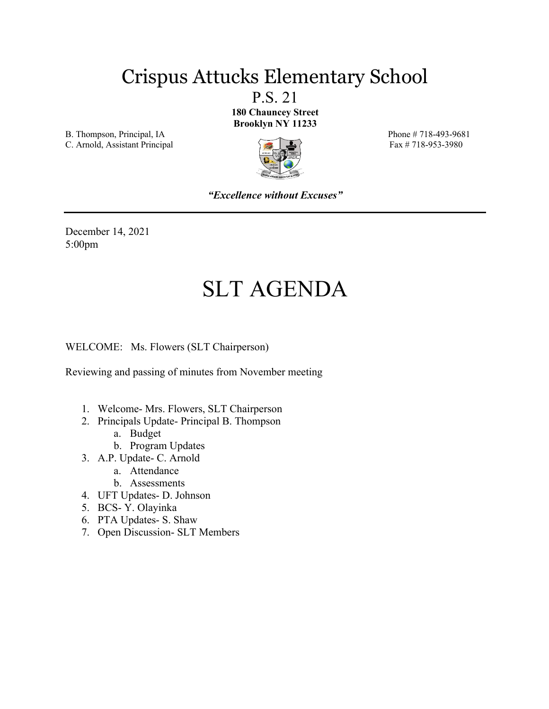### Crispus Attucks Elementary School

P.S. 21 **180 Chauncey Street Brooklyn NY 11233**

B. Thompson, Principal, IA Phone # 718-493-9681

C. Arnold, Assistant Principal Fax # 718-953-3980



*"Excellence without Excuses"*

December 14, 2021 5:00pm

# SLT AGENDA

WELCOME: Ms. Flowers (SLT Chairperson)

Reviewing and passing of minutes from November meeting

- 1. Welcome- Mrs. Flowers, SLT Chairperson
- 2. Principals Update- Principal B. Thompson
	- a. Budget
	- b. Program Updates
- 3. A.P. Update- C. Arnold
	- a. Attendance
	- b. Assessments
- 4. UFT Updates- D. Johnson
- 5. BCS- Y. Olayinka
- 6. PTA Updates- S. Shaw
- 7. Open Discussion- SLT Members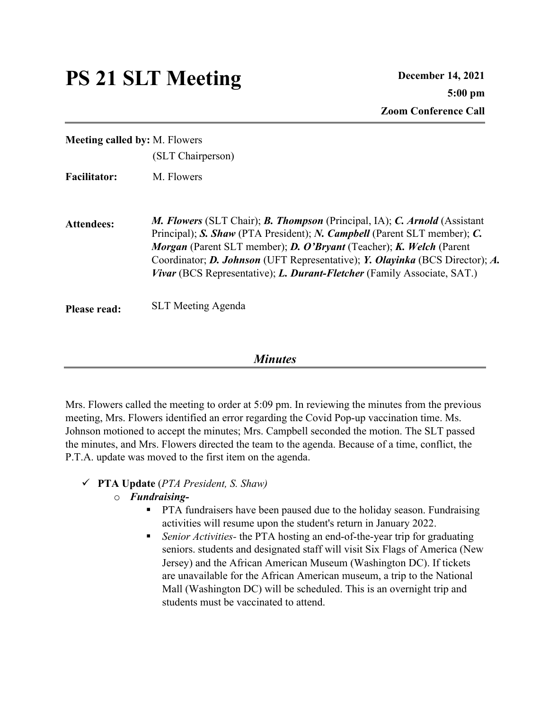## PS 21 SLT Meeting December 14, 2021

**Meeting called by:** M. Flowers (SLT Chairperson)

**Facilitator:** M. Flowers

**Attendees:** *M. Flowers* (SLT Chair); *B. Thompson* (Principal, IA); *C. Arnold* (Assistant Principal); *S. Shaw* (PTA President); *N. Campbell* (Parent SLT member); *C. Morgan* (Parent SLT member); *D. O'Bryant* (Teacher); *K. Welch* (Parent Coordinator; *D. Johnson* (UFT Representative); *Y. Olayinka* (BCS Director); *A. Vivar* (BCS Representative); *L. Durant-Fletcher* (Family Associate, SAT.)

**Please read:** SLT Meeting Agenda

#### *Minutes*

Mrs. Flowers called the meeting to order at 5:09 pm. In reviewing the minutes from the previous meeting, Mrs. Flowers identified an error regarding the Covid Pop-up vaccination time. Ms. Johnson motioned to accept the minutes; Mrs. Campbell seconded the motion. The SLT passed the minutes, and Mrs. Flowers directed the team to the agenda. Because of a time, conflict, the P.T.A. update was moved to the first item on the agenda.

#### ü **PTA Update** (*PTA President, S. Shaw)*

#### o *Fundraising-*

- PTA fundraisers have been paused due to the holiday season. Fundraising activities will resume upon the student's return in January 2022.
- *Senior Activities* the PTA hosting an end-of-the-year trip for graduating seniors. students and designated staff will visit Six Flags of America (New Jersey) and the African American Museum (Washington DC). If tickets are unavailable for the African American museum, a trip to the National Mall (Washington DC) will be scheduled. This is an overnight trip and students must be vaccinated to attend.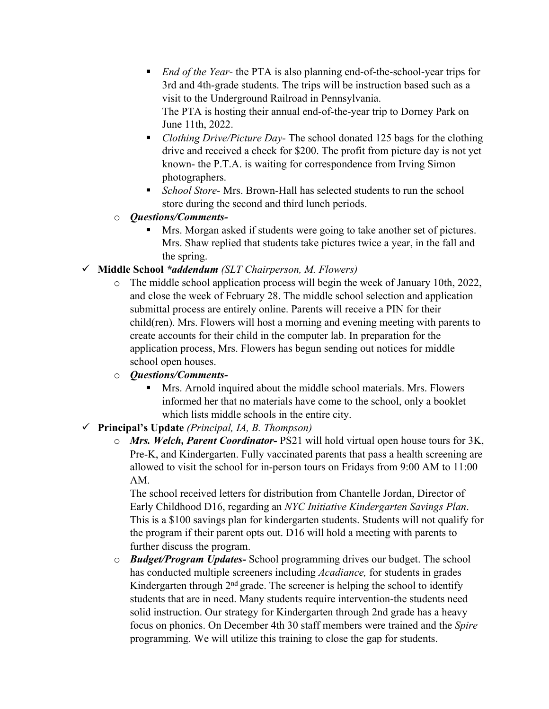- *End of the Year* the PTA is also planning end-of-the-school-year trips for 3rd and 4th-grade students. The trips will be instruction based such as a visit to the Underground Railroad in Pennsylvania. The PTA is hosting their annual end-of-the-year trip to Dorney Park on June 11th, 2022.
- *Clothing Drive/Picture Day* The school donated 125 bags for the clothing drive and received a check for \$200. The profit from picture day is not yet known- the P.T.A. is waiting for correspondence from Irving Simon photographers.
- § *School Store-* Mrs. Brown-Hall has selected students to run the school store during the second and third lunch periods.
- o *Questions/Comments-*
	- Mrs. Morgan asked if students were going to take another set of pictures. Mrs. Shaw replied that students take pictures twice a year, in the fall and the spring.
- ü **Middle School** *\*addendum (SLT Chairperson, M. Flowers)*
	- o The middle school application process will begin the week of January 10th, 2022, and close the week of February 28. The middle school selection and application submittal process are entirely online. Parents will receive a PIN for their child(ren). Mrs. Flowers will host a morning and evening meeting with parents to create accounts for their child in the computer lab. In preparation for the application process, Mrs. Flowers has begun sending out notices for middle school open houses.
	- o *Questions/Comments-*
		- § Mrs. Arnold inquired about the middle school materials. Mrs. Flowers informed her that no materials have come to the school, only a booklet which lists middle schools in the entire city.
- ü **Principal's Update** *(Principal, IA, B. Thompson)*
	- o *Mrs. Welch, Parent Coordinator-* PS21 will hold virtual open house tours for 3K, Pre-K, and Kindergarten. Fully vaccinated parents that pass a health screening are allowed to visit the school for in-person tours on Fridays from 9:00 AM to 11:00 AM.

The school received letters for distribution from Chantelle Jordan, Director of Early Childhood D16, regarding an *NYC Initiative Kindergarten Savings Plan*. This is a \$100 savings plan for kindergarten students. Students will not qualify for the program if their parent opts out. D16 will hold a meeting with parents to further discuss the program.

o *Budget/Program Updates-* School programming drives our budget. The school has conducted multiple screeners including *Acadiance,* for students in grades Kindergarten through 2nd grade. The screener is helping the school to identify students that are in need. Many students require intervention-the students need solid instruction. Our strategy for Kindergarten through 2nd grade has a heavy focus on phonics. On December 4th 30 staff members were trained and the *Spire* programming. We will utilize this training to close the gap for students.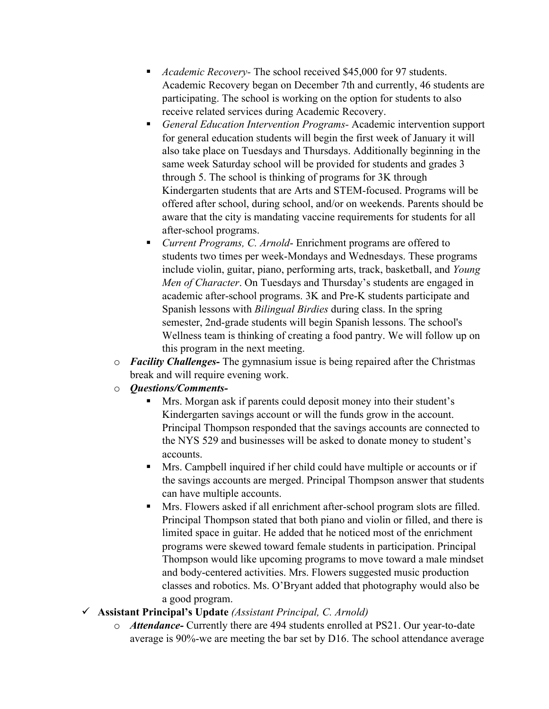- § *Academic Recovery-* The school received \$45,000 for 97 students. Academic Recovery began on December 7th and currently, 46 students are participating. The school is working on the option for students to also receive related services during Academic Recovery.
- § *General Education Intervention Programs-* Academic intervention support for general education students will begin the first week of January it will also take place on Tuesdays and Thursdays. Additionally beginning in the same week Saturday school will be provided for students and grades 3 through 5. The school is thinking of programs for 3K through Kindergarten students that are Arts and STEM-focused. Programs will be offered after school, during school, and/or on weekends. Parents should be aware that the city is mandating vaccine requirements for students for all after-school programs.
- *Current Programs, C. Arnold* Enrichment programs are offered to students two times per week-Mondays and Wednesdays. These programs include violin, guitar, piano, performing arts, track, basketball, and *Young Men of Character*. On Tuesdays and Thursday's students are engaged in academic after-school programs. 3K and Pre-K students participate and Spanish lessons with *Bilingual Birdies* during class. In the spring semester, 2nd-grade students will begin Spanish lessons. The school's Wellness team is thinking of creating a food pantry. We will follow up on this program in the next meeting.
- o *Facility Challenges-* The gymnasium issue is being repaired after the Christmas break and will require evening work.
- o *Questions/Comments-*
	- § Mrs. Morgan ask if parents could deposit money into their student's Kindergarten savings account or will the funds grow in the account. Principal Thompson responded that the savings accounts are connected to the NYS 529 and businesses will be asked to donate money to student's accounts.
	- Mrs. Campbell inquired if her child could have multiple or accounts or if the savings accounts are merged. Principal Thompson answer that students can have multiple accounts.
	- **Mrs. Flowers asked if all enrichment after-school program slots are filled.** Principal Thompson stated that both piano and violin or filled, and there is limited space in guitar. He added that he noticed most of the enrichment programs were skewed toward female students in participation. Principal Thompson would like upcoming programs to move toward a male mindset and body-centered activities. Mrs. Flowers suggested music production classes and robotics. Ms. O'Bryant added that photography would also be a good program.
- ü **Assistant Principal's Update** *(Assistant Principal, C. Arnold)*
	- o *Attendance-* Currently there are 494 students enrolled at PS21. Our year-to-date average is 90%-we are meeting the bar set by D16. The school attendance average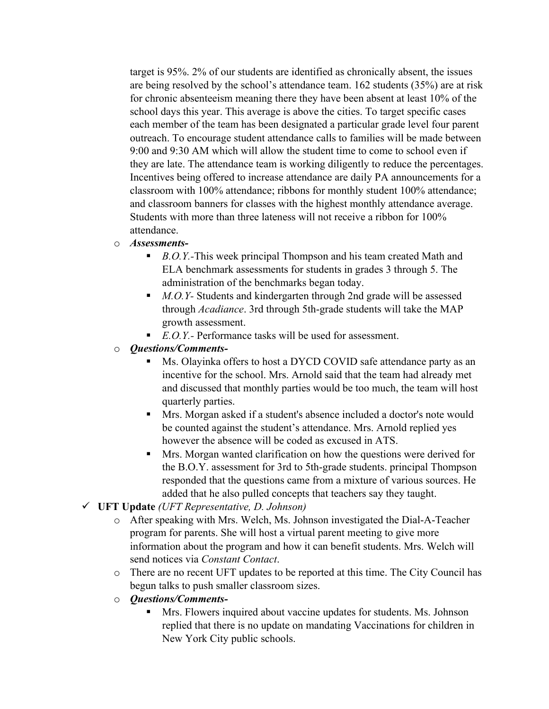target is 95%. 2% of our students are identified as chronically absent, the issues are being resolved by the school's attendance team. 162 students (35%) are at risk for chronic absenteeism meaning there they have been absent at least 10% of the school days this year. This average is above the cities. To target specific cases each member of the team has been designated a particular grade level four parent outreach. To encourage student attendance calls to families will be made between 9:00 and 9:30 AM which will allow the student time to come to school even if they are late. The attendance team is working diligently to reduce the percentages. Incentives being offered to increase attendance are daily PA announcements for a classroom with 100% attendance; ribbons for monthly student 100% attendance; and classroom banners for classes with the highest monthly attendance average. Students with more than three lateness will not receive a ribbon for 100% attendance.

#### o *Assessments-*

- *B.O.Y.*-This week principal Thompson and his team created Math and ELA benchmark assessments for students in grades 3 through 5. The administration of the benchmarks began today.
- *M.O.Y* Students and kindergarten through 2nd grade will be assessed through *Acadiance*. 3rd through 5th-grade students will take the MAP growth assessment.
- *E.O.Y.* Performance tasks will be used for assessment.
- o *Questions/Comments-*
	- Ms. Olayinka offers to host a DYCD COVID safe attendance party as an incentive for the school. Mrs. Arnold said that the team had already met and discussed that monthly parties would be too much, the team will host quarterly parties.
	- Mrs. Morgan asked if a student's absence included a doctor's note would be counted against the student's attendance. Mrs. Arnold replied yes however the absence will be coded as excused in ATS.
	- § Mrs. Morgan wanted clarification on how the questions were derived for the B.O.Y. assessment for 3rd to 5th-grade students. principal Thompson responded that the questions came from a mixture of various sources. He added that he also pulled concepts that teachers say they taught.
- ü **UFT Update** *(UFT Representative, D. Johnson)*
	- o After speaking with Mrs. Welch, Ms. Johnson investigated the Dial-A-Teacher program for parents. She will host a virtual parent meeting to give more information about the program and how it can benefit students. Mrs. Welch will send notices via *Constant Contact*.
	- o There are no recent UFT updates to be reported at this time. The City Council has begun talks to push smaller classroom sizes.
	- o *Questions/Comments-*
		- Mrs. Flowers inquired about vaccine updates for students. Ms. Johnson replied that there is no update on mandating Vaccinations for children in New York City public schools.